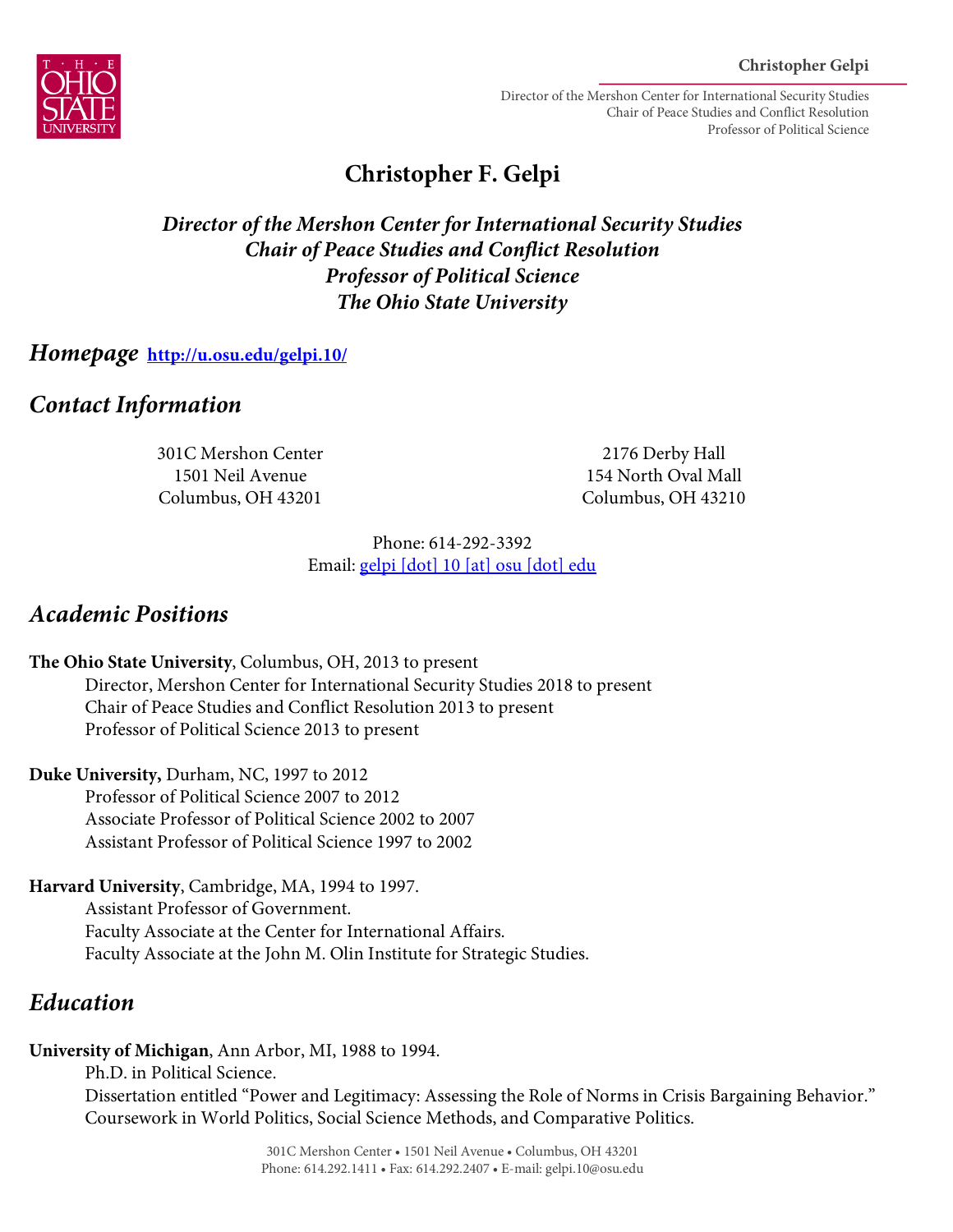

Director of the Mershon Center for International Security Studies Chair of Peace Studies and Conflict Resolution Professor of Political Science

# **Christopher F. Gelpi**

### *Director of the Mershon Center for International Security Studies Chair of Peace Studies and Conflict Resolution Professor of Political Science The Ohio State University*

#### *Homepage* **http://u.osu.edu/gelpi.10/**

### *Contact Information*

301C Mershon Center 1501 Neil Avenue Columbus, OH 43201

2176 Derby Hall 154 North Oval Mall Columbus, OH 43210

Phone: 614-292-3392 Email: gelpi [dot] 10 [at] osu [dot] edu

### *Academic Positions*

**The Ohio State University**, Columbus, OH, 2013 to present Director, Mershon Center for International Security Studies 2018 to present Chair of Peace Studies and Conflict Resolution 2013 to present Professor of Political Science 2013 to present

**Duke University,** Durham, NC, 1997 to 2012 Professor of Political Science 2007 to 2012 Associate Professor of Political Science 2002 to 2007 Assistant Professor of Political Science 1997 to 2002

**Harvard University**, Cambridge, MA, 1994 to 1997. Assistant Professor of Government. Faculty Associate at the Center for International Affairs. Faculty Associate at the John M. Olin Institute for Strategic Studies.

## *Education*

**University of Michigan**, Ann Arbor, MI, 1988 to 1994.

Ph.D. in Political Science. Dissertation entitled "Power and Legitimacy: Assessing the Role of Norms in Crisis Bargaining Behavior." Coursework in World Politics, Social Science Methods, and Comparative Politics.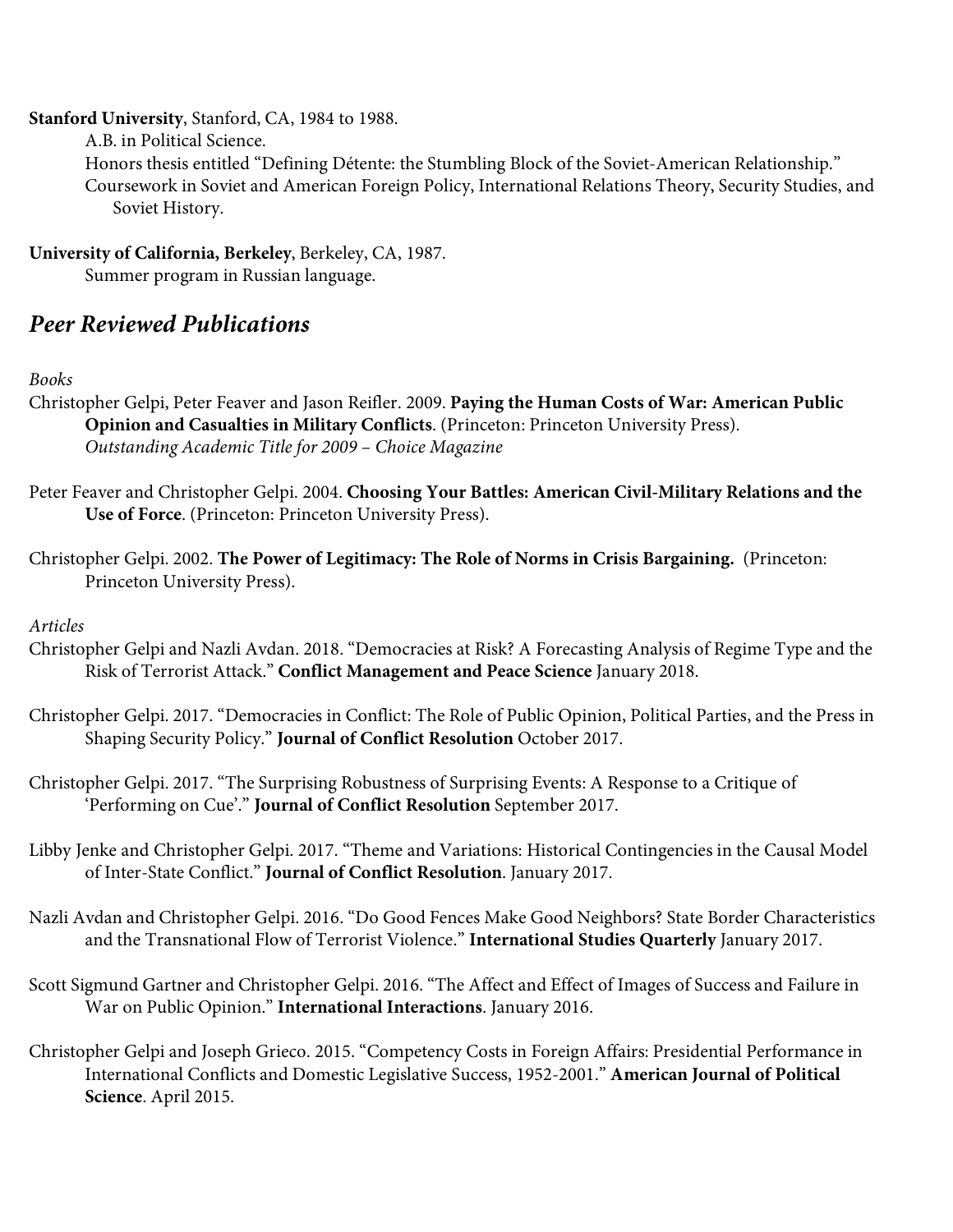#### **Stanford University**, Stanford, CA, 1984 to 1988.

A.B. in Political Science.

Honors thesis entitled "Defining Détente: the Stumbling Block of the Soviet-American Relationship." Coursework in Soviet and American Foreign Policy, International Relations Theory, Security Studies, and Soviet History.

**University of California, Berkeley**, Berkeley, CA, 1987.

Summer program in Russian language.

### *Peer Reviewed Publications*

#### *Books*

- Christopher Gelpi, Peter Feaver and Jason Reifler. 2009. **Paying the Human Costs of War: American Public Opinion and Casualties in Military Conflicts**. (Princeton: Princeton University Press). *Outstanding Academic Title for 2009 – Choice Magazine*
- Peter Feaver and Christopher Gelpi. 2004. **Choosing Your Battles: American Civil-Military Relations and the Use of Force**. (Princeton: Princeton University Press).
- Christopher Gelpi. 2002. **The Power of Legitimacy: The Role of Norms in Crisis Bargaining.** (Princeton: Princeton University Press).

#### *Articles*

- Christopher Gelpi and Nazli Avdan. 2018. "Democracies at Risk? A Forecasting Analysis of Regime Type and the Risk of Terrorist Attack." **Conflict Management and Peace Science** January 2018.
- Christopher Gelpi. 2017. "Democracies in Conflict: The Role of Public Opinion, Political Parties, and the Press in Shaping Security Policy." **Journal of Conflict Resolution** October 2017.
- Christopher Gelpi. 2017. "The Surprising Robustness of Surprising Events: A Response to a Critique of 'Performing on Cue'." **Journal of Conflict Resolution** September 2017.
- Libby Jenke and Christopher Gelpi. 2017. "Theme and Variations: Historical Contingencies in the Causal Model of Inter-State Conflict." **Journal of Conflict Resolution**. January 2017.
- Nazli Avdan and Christopher Gelpi. 2016. "Do Good Fences Make Good Neighbors? State Border Characteristics and the Transnational Flow of Terrorist Violence." **International Studies Quarterly** January 2017.
- Scott Sigmund Gartner and Christopher Gelpi. 2016. "The Affect and Effect of Images of Success and Failure in War on Public Opinion." **International Interactions**. January 2016.
- Christopher Gelpi and Joseph Grieco. 2015. "Competency Costs in Foreign Affairs: Presidential Performance in International Conflicts and Domestic Legislative Success, 1952-2001." **American Journal of Political Science**. April 2015.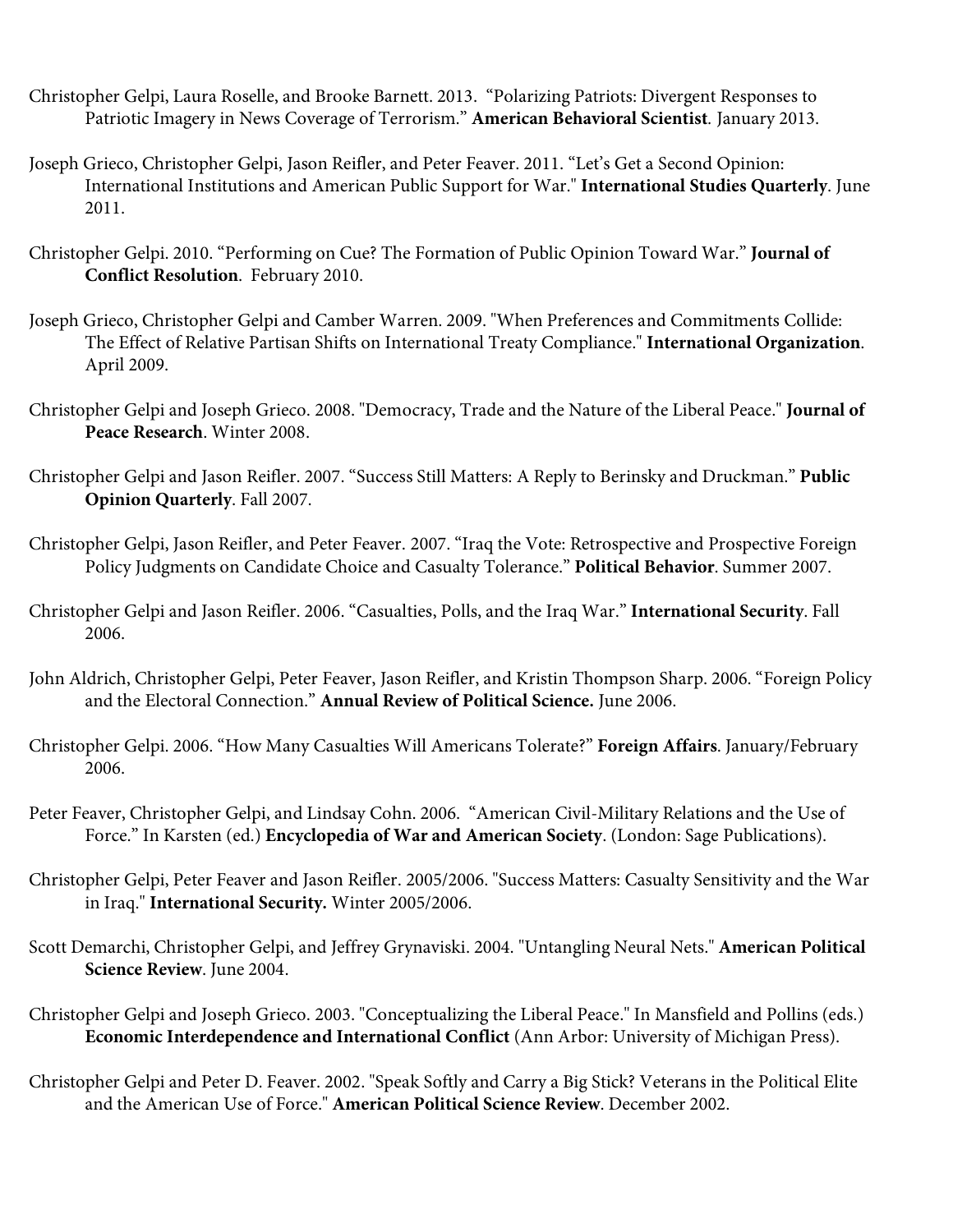- Christopher Gelpi, Laura Roselle, and Brooke Barnett. 2013. "Polarizing Patriots: Divergent Responses to Patriotic Imagery in News Coverage of Terrorism." **American Behavioral Scientist***.* January 2013.
- Joseph Grieco, Christopher Gelpi, Jason Reifler, and Peter Feaver. 2011. "Let's Get a Second Opinion: International Institutions and American Public Support for War." **International Studies Quarterly**. June 2011.
- Christopher Gelpi. 2010. "Performing on Cue? The Formation of Public Opinion Toward War." **Journal of Conflict Resolution**. February 2010.
- Joseph Grieco, Christopher Gelpi and Camber Warren. 2009. "When Preferences and Commitments Collide: The Effect of Relative Partisan Shifts on International Treaty Compliance." **International Organization**. April 2009.
- Christopher Gelpi and Joseph Grieco. 2008. "Democracy, Trade and the Nature of the Liberal Peace." **Journal of Peace Research**. Winter 2008.
- Christopher Gelpi and Jason Reifler. 2007. "Success Still Matters: A Reply to Berinsky and Druckman." **Public Opinion Quarterly**. Fall 2007.
- Christopher Gelpi, Jason Reifler, and Peter Feaver. 2007. "Iraq the Vote: Retrospective and Prospective Foreign Policy Judgments on Candidate Choice and Casualty Tolerance." **Political Behavior**. Summer 2007.
- Christopher Gelpi and Jason Reifler. 2006. "Casualties, Polls, and the Iraq War." **International Security**. Fall 2006.
- John Aldrich, Christopher Gelpi, Peter Feaver, Jason Reifler, and Kristin Thompson Sharp. 2006. "Foreign Policy and the Electoral Connection." **Annual Review of Political Science.** June 2006.
- Christopher Gelpi. 2006. "How Many Casualties Will Americans Tolerate?" **Foreign Affairs**. January/February 2006.
- Peter Feaver, Christopher Gelpi, and Lindsay Cohn. 2006. "American Civil-Military Relations and the Use of Force." In Karsten (ed.) **Encyclopedia of War and American Society**. (London: Sage Publications).
- Christopher Gelpi, Peter Feaver and Jason Reifler. 2005/2006. "Success Matters: Casualty Sensitivity and the War in Iraq." **International Security.** Winter 2005/2006.
- Scott Demarchi, Christopher Gelpi, and Jeffrey Grynaviski. 2004. "Untangling Neural Nets." **American Political Science Review**. June 2004.
- Christopher Gelpi and Joseph Grieco. 2003. "Conceptualizing the Liberal Peace." In Mansfield and Pollins (eds.) **Economic Interdependence and International Conflict** (Ann Arbor: University of Michigan Press).
- Christopher Gelpi and Peter D. Feaver. 2002. "Speak Softly and Carry a Big Stick? Veterans in the Political Elite and the American Use of Force." **American Political Science Review**. December 2002.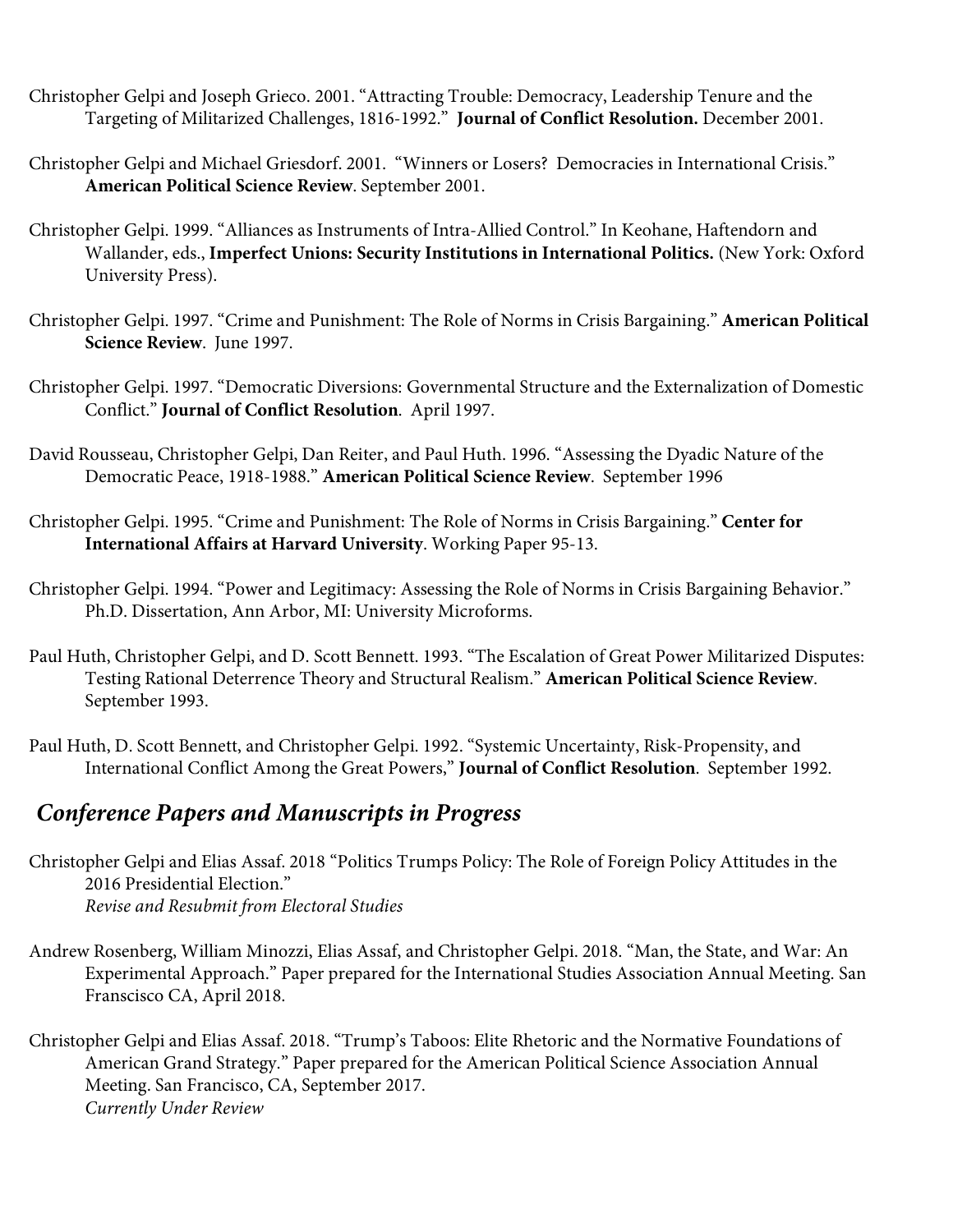- Christopher Gelpi and Joseph Grieco. 2001. "Attracting Trouble: Democracy, Leadership Tenure and the Targeting of Militarized Challenges, 1816-1992." **Journal of Conflict Resolution.** December 2001.
- Christopher Gelpi and Michael Griesdorf. 2001. "Winners or Losers? Democracies in International Crisis." **American Political Science Review**. September 2001.
- Christopher Gelpi. 1999. "Alliances as Instruments of Intra-Allied Control." In Keohane, Haftendorn and Wallander, eds., **Imperfect Unions: Security Institutions in International Politics.** (New York: Oxford University Press).
- Christopher Gelpi. 1997. "Crime and Punishment: The Role of Norms in Crisis Bargaining." **American Political Science Review**. June 1997.
- Christopher Gelpi. 1997. "Democratic Diversions: Governmental Structure and the Externalization of Domestic Conflict." **Journal of Conflict Resolution**. April 1997.
- David Rousseau, Christopher Gelpi, Dan Reiter, and Paul Huth. 1996. "Assessing the Dyadic Nature of the Democratic Peace, 1918-1988." **American Political Science Review**. September 1996
- Christopher Gelpi. 1995. "Crime and Punishment: The Role of Norms in Crisis Bargaining." **Center for International Affairs at Harvard University**. Working Paper 95-13.
- Christopher Gelpi. 1994. "Power and Legitimacy: Assessing the Role of Norms in Crisis Bargaining Behavior." Ph.D. Dissertation, Ann Arbor, MI: University Microforms.
- Paul Huth, Christopher Gelpi, and D. Scott Bennett. 1993. "The Escalation of Great Power Militarized Disputes: Testing Rational Deterrence Theory and Structural Realism." **American Political Science Review**. September 1993.
- Paul Huth, D. Scott Bennett, and Christopher Gelpi. 1992. "Systemic Uncertainty, Risk-Propensity, and International Conflict Among the Great Powers," **Journal of Conflict Resolution**. September 1992.

## *Conference Papers and Manuscripts in Progress*

- Christopher Gelpi and Elias Assaf. 2018 "Politics Trumps Policy: The Role of Foreign Policy Attitudes in the 2016 Presidential Election." *Revise and Resubmit from Electoral Studies*
- Andrew Rosenberg, William Minozzi, Elias Assaf, and Christopher Gelpi. 2018. "Man, the State, and War: An Experimental Approach." Paper prepared for the International Studies Association Annual Meeting. San Franscisco CA, April 2018.
- Christopher Gelpi and Elias Assaf. 2018. "Trump's Taboos: Elite Rhetoric and the Normative Foundations of American Grand Strategy." Paper prepared for the American Political Science Association Annual Meeting. San Francisco, CA, September 2017. *Currently Under Review*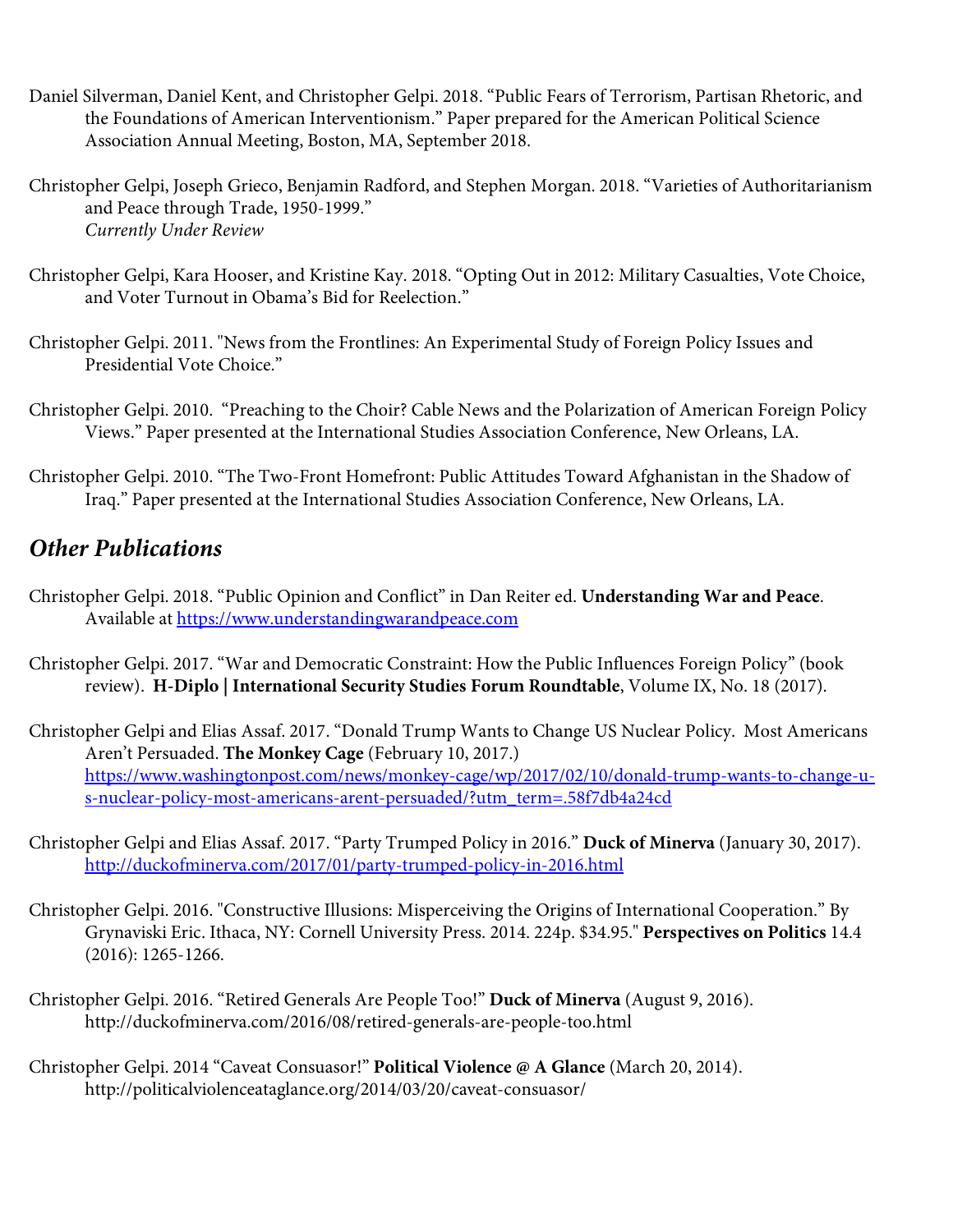- Daniel Silverman, Daniel Kent, and Christopher Gelpi. 2018. "Public Fears of Terrorism, Partisan Rhetoric, and the Foundations of American Interventionism." Paper prepared for the American Political Science Association Annual Meeting, Boston, MA, September 2018.
- Christopher Gelpi, Joseph Grieco, Benjamin Radford, and Stephen Morgan. 2018. "Varieties of Authoritarianism and Peace through Trade, 1950-1999." *Currently Under Review*
- Christopher Gelpi, Kara Hooser, and Kristine Kay. 2018. "Opting Out in 2012: Military Casualties, Vote Choice, and Voter Turnout in Obama's Bid for Reelection."
- Christopher Gelpi. 2011. "News from the Frontlines: An Experimental Study of Foreign Policy Issues and Presidential Vote Choice."
- Christopher Gelpi. 2010. "Preaching to the Choir? Cable News and the Polarization of American Foreign Policy Views." Paper presented at the International Studies Association Conference, New Orleans, LA.
- Christopher Gelpi. 2010. "The Two-Front Homefront: Public Attitudes Toward Afghanistan in the Shadow of Iraq." Paper presented at the International Studies Association Conference, New Orleans, LA.

### *Other Publications*

- Christopher Gelpi. 2018. "Public Opinion and Conflict" in Dan Reiter ed. **Understanding War and Peace**. Available at https://www.understandingwarandpeace.com
- Christopher Gelpi. 2017. "War and Democratic Constraint: How the Public Influences Foreign Policy" (book review). **H-Diplo | International Security Studies Forum Roundtable**, Volume IX, No. 18 (2017).
- Christopher Gelpi and Elias Assaf. 2017. "Donald Trump Wants to Change US Nuclear Policy. Most Americans Aren't Persuaded. **The Monkey Cage** (February 10, 2017.) https://www.washingtonpost.com/news/monkey-cage/wp/2017/02/10/donald-trump-wants-to-change-us-nuclear-policy-most-americans-arent-persuaded/?utm\_term=.58f7db4a24cd
- Christopher Gelpi and Elias Assaf. 2017. "Party Trumped Policy in 2016." **Duck of Minerva** (January 30, 2017). http://duckofminerva.com/2017/01/party-trumped-policy-in-2016.html
- Christopher Gelpi. 2016. "Constructive Illusions: Misperceiving the Origins of International Cooperation." By Grynaviski Eric. Ithaca, NY: Cornell University Press. 2014. 224p. \$34.95." **Perspectives on Politics** 14.4 (2016): 1265-1266.
- Christopher Gelpi. 2016. "Retired Generals Are People Too!" **Duck of Minerva** (August 9, 2016). http://duckofminerva.com/2016/08/retired-generals-are-people-too.html
- Christopher Gelpi. 2014 "Caveat Consuasor!" **Political Violence @ A Glance** (March 20, 2014). http://politicalviolenceataglance.org/2014/03/20/caveat-consuasor/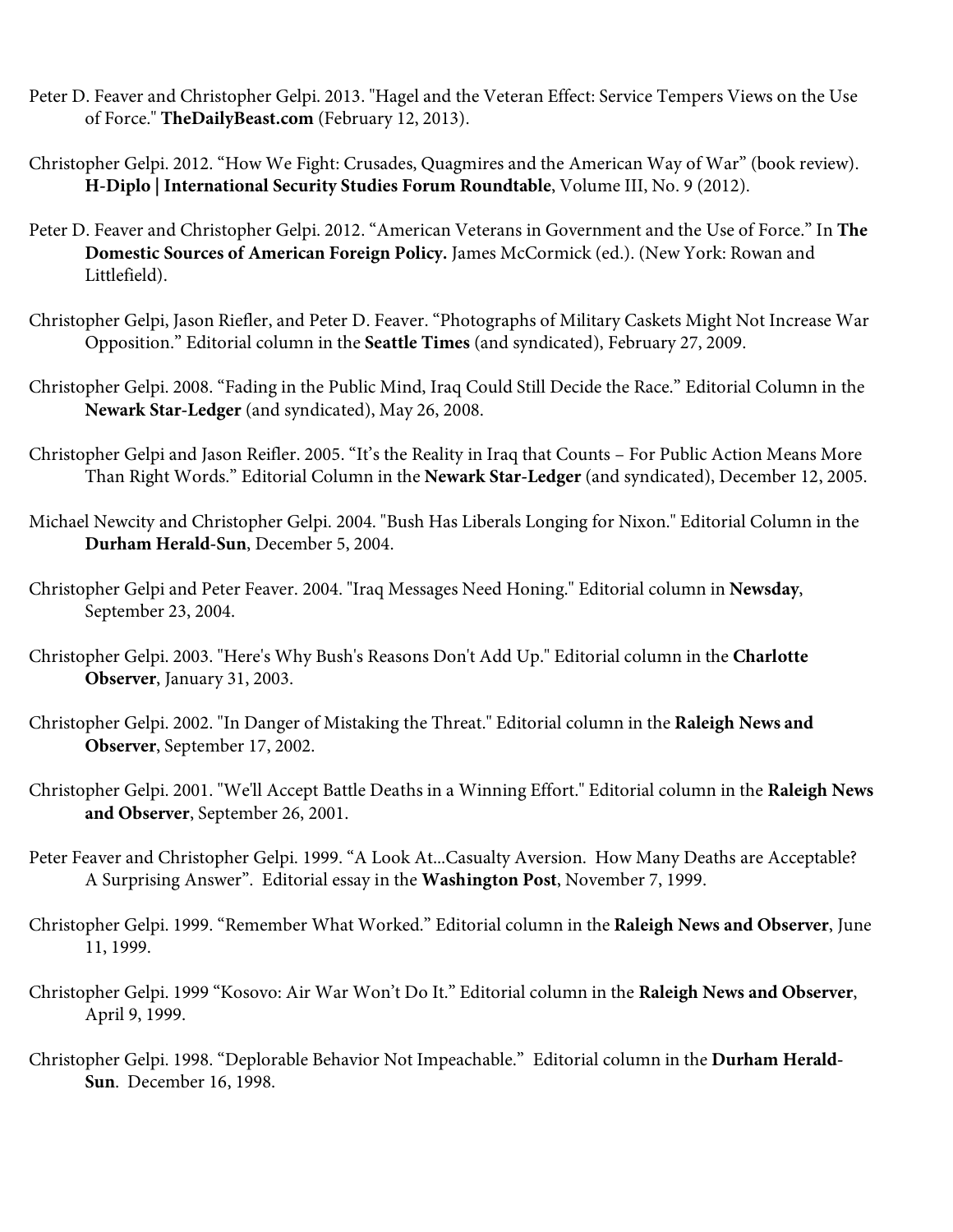- Peter D. Feaver and Christopher Gelpi. 2013. "Hagel and the Veteran Effect: Service Tempers Views on the Use of Force." **TheDailyBeast.com** (February 12, 2013).
- Christopher Gelpi. 2012. "How We Fight: Crusades, Quagmires and the American Way of War" (book review). **H-Diplo | International Security Studies Forum Roundtable**, Volume III, No. 9 (2012).
- Peter D. Feaver and Christopher Gelpi. 2012. "American Veterans in Government and the Use of Force." In **The Domestic Sources of American Foreign Policy.** James McCormick (ed.). (New York: Rowan and Littlefield).
- Christopher Gelpi, Jason Riefler, and Peter D. Feaver. "Photographs of Military Caskets Might Not Increase War Opposition." Editorial column in the **Seattle Times** (and syndicated), February 27, 2009.
- Christopher Gelpi. 2008. "Fading in the Public Mind, Iraq Could Still Decide the Race." Editorial Column in the **Newark Star-Ledger** (and syndicated), May 26, 2008.
- Christopher Gelpi and Jason Reifler. 2005. "It's the Reality in Iraq that Counts For Public Action Means More Than Right Words." Editorial Column in the **Newark Star-Ledger** (and syndicated), December 12, 2005.
- Michael Newcity and Christopher Gelpi. 2004. "Bush Has Liberals Longing for Nixon." Editorial Column in the **Durham Herald-Sun**, December 5, 2004.
- Christopher Gelpi and Peter Feaver. 2004. "Iraq Messages Need Honing." Editorial column in **Newsday**, September 23, 2004.
- Christopher Gelpi. 2003. "Here's Why Bush's Reasons Don't Add Up." Editorial column in the **Charlotte Observer**, January 31, 2003.
- Christopher Gelpi. 2002. "In Danger of Mistaking the Threat." Editorial column in the **Raleigh News and Observer**, September 17, 2002.
- Christopher Gelpi. 2001. "We'll Accept Battle Deaths in a Winning Effort." Editorial column in the **Raleigh News and Observer**, September 26, 2001.
- Peter Feaver and Christopher Gelpi. 1999. "A Look At...Casualty Aversion. How Many Deaths are Acceptable? A Surprising Answer". Editorial essay in the **Washington Post**, November 7, 1999.
- Christopher Gelpi. 1999. "Remember What Worked." Editorial column in the **Raleigh News and Observer**, June 11, 1999.
- Christopher Gelpi. 1999 "Kosovo: Air War Won't Do It." Editorial column in the **Raleigh News and Observer**, April 9, 1999.
- Christopher Gelpi. 1998. "Deplorable Behavior Not Impeachable." Editorial column in the **Durham Herald-Sun**. December 16, 1998.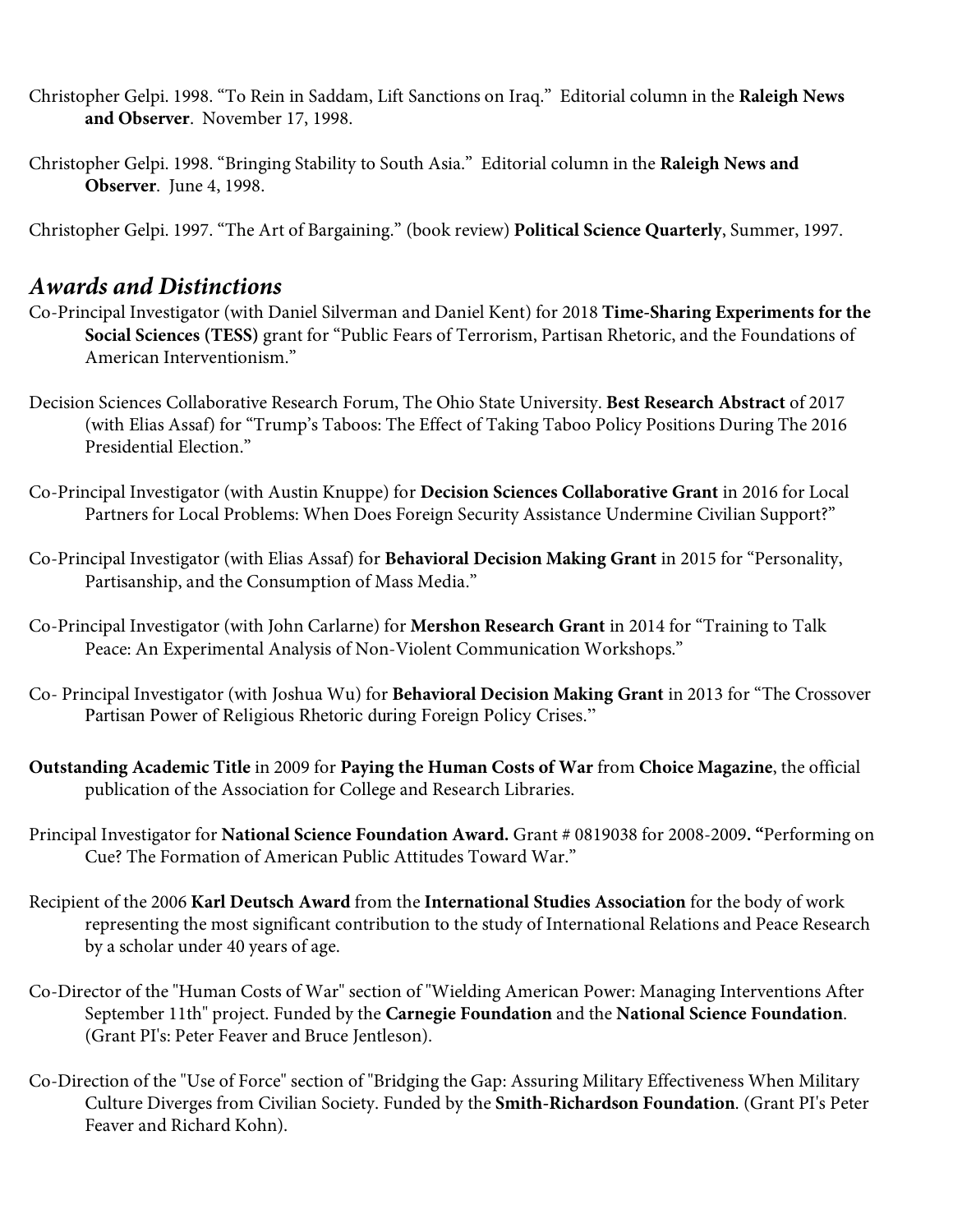- Christopher Gelpi. 1998. "To Rein in Saddam, Lift Sanctions on Iraq." Editorial column in the **Raleigh News and Observer**. November 17, 1998.
- Christopher Gelpi. 1998. "Bringing Stability to South Asia." Editorial column in the **Raleigh News and Observer**. June 4, 1998.

Christopher Gelpi. 1997. "The Art of Bargaining." (book review) **Political Science Quarterly**, Summer, 1997.

#### *Awards and Distinctions*

- Co-Principal Investigator (with Daniel Silverman and Daniel Kent) for 2018 **Time-Sharing Experiments for the Social Sciences (TESS)** grant for "Public Fears of Terrorism, Partisan Rhetoric, and the Foundations of American Interventionism."
- Decision Sciences Collaborative Research Forum, The Ohio State University. **Best Research Abstract** of 2017 (with Elias Assaf) for "Trump's Taboos: The Effect of Taking Taboo Policy Positions During The 2016 Presidential Election."
- Co-Principal Investigator (with Austin Knuppe) for **Decision Sciences Collaborative Grant** in 2016 for Local Partners for Local Problems: When Does Foreign Security Assistance Undermine Civilian Support?"
- Co-Principal Investigator (with Elias Assaf) for **Behavioral Decision Making Grant** in 2015 for "Personality, Partisanship, and the Consumption of Mass Media."
- Co-Principal Investigator (with John Carlarne) for **Mershon Research Grant** in 2014 for "Training to Talk Peace: An Experimental Analysis of Non-Violent Communication Workshops."
- Co- Principal Investigator (with Joshua Wu) for **Behavioral Decision Making Grant** in 2013 for "The Crossover Partisan Power of Religious Rhetoric during Foreign Policy Crises."
- **Outstanding Academic Title** in 2009 for **Paying the Human Costs of War** from **Choice Magazine**, the official publication of the Association for College and Research Libraries.
- Principal Investigator for **National Science Foundation Award.** Grant # 0819038 for 2008-2009**. "**Performing on Cue? The Formation of American Public Attitudes Toward War."
- Recipient of the 2006 **Karl Deutsch Award** from the **International Studies Association** for the body of work representing the most significant contribution to the study of International Relations and Peace Research by a scholar under 40 years of age.
- Co-Director of the "Human Costs of War" section of "Wielding American Power: Managing Interventions After September 11th" project. Funded by the **Carnegie Foundation** and the **National Science Foundation**. (Grant PI's: Peter Feaver and Bruce Jentleson).
- Co-Direction of the "Use of Force" section of "Bridging the Gap: Assuring Military Effectiveness When Military Culture Diverges from Civilian Society. Funded by the **Smith-Richardson Foundation**. (Grant PI's Peter Feaver and Richard Kohn).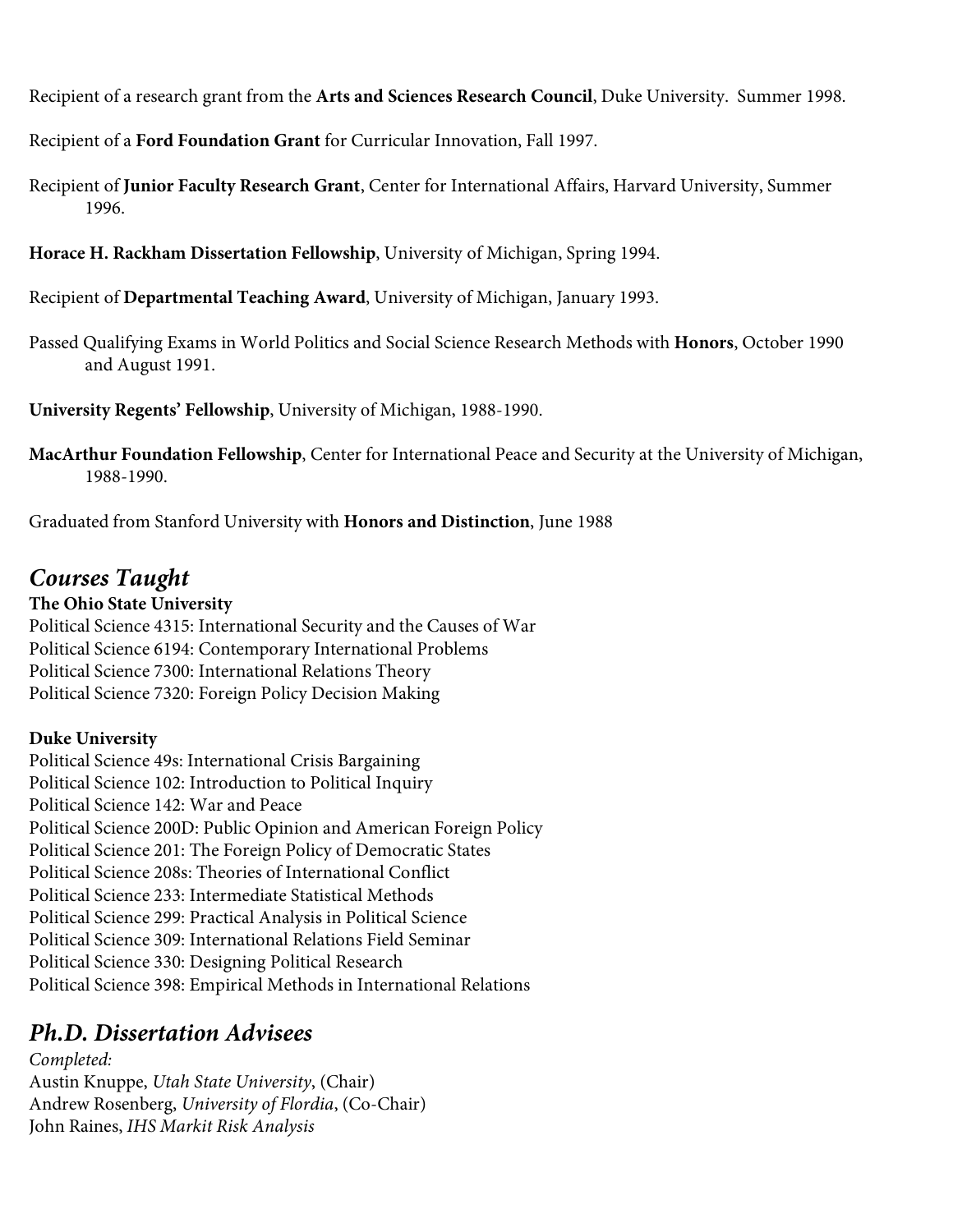Recipient of a research grant from the **Arts and Sciences Research Council**, Duke University. Summer 1998.

Recipient of a **Ford Foundation Grant** for Curricular Innovation, Fall 1997.

- Recipient of **Junior Faculty Research Grant**, Center for International Affairs, Harvard University, Summer 1996.
- **Horace H. Rackham Dissertation Fellowship**, University of Michigan, Spring 1994.

Recipient of **Departmental Teaching Award**, University of Michigan, January 1993.

Passed Qualifying Exams in World Politics and Social Science Research Methods with **Honors**, October 1990 and August 1991.

**University Regents' Fellowship**, University of Michigan, 1988-1990.

**MacArthur Foundation Fellowship**, Center for International Peace and Security at the University of Michigan, 1988-1990.

Graduated from Stanford University with **Honors and Distinction**, June 1988

### *Courses Taught*

#### **The Ohio State University**

Political Science 4315: International Security and the Causes of War Political Science 6194: Contemporary International Problems Political Science 7300: International Relations Theory Political Science 7320: Foreign Policy Decision Making

#### **Duke University**

Political Science 49s: International Crisis Bargaining Political Science 102: Introduction to Political Inquiry Political Science 142: War and Peace Political Science 200D: Public Opinion and American Foreign Policy Political Science 201: The Foreign Policy of Democratic States Political Science 208s: Theories of International Conflict Political Science 233: Intermediate Statistical Methods Political Science 299: Practical Analysis in Political Science Political Science 309: International Relations Field Seminar Political Science 330: Designing Political Research Political Science 398: Empirical Methods in International Relations

### *Ph.D. Dissertation Advisees*

*Completed:* Austin Knuppe, *Utah State University*, (Chair) Andrew Rosenberg, *University of Flordia*, (Co-Chair) John Raines, *IHS Markit Risk Analysis*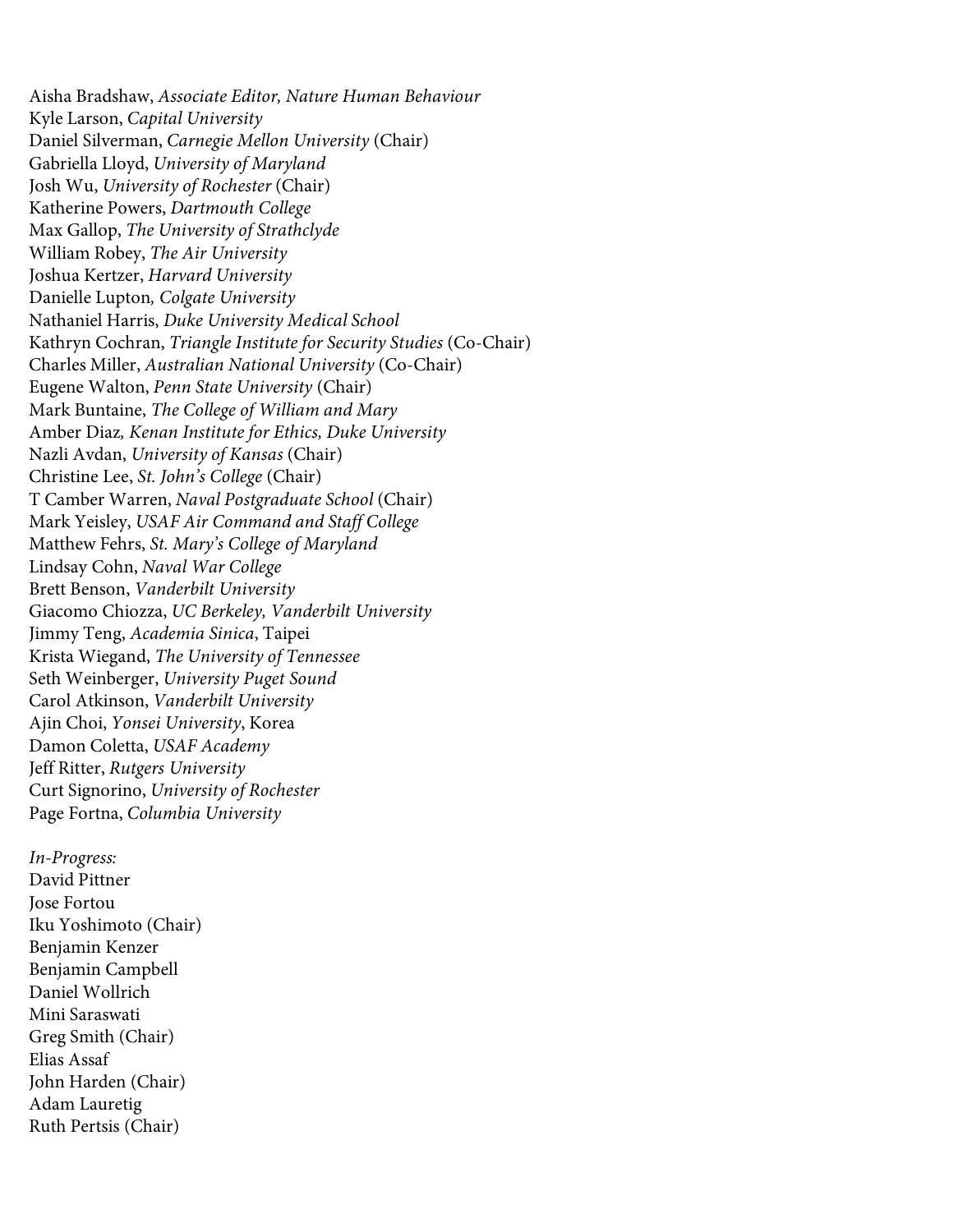Aisha Bradshaw, *Associate Editor, Nature Human Behaviour* Kyle Larson, *Capital University* Daniel Silverman, *Carnegie Mellon University* (Chair) Gabriella Lloyd, *University of Maryland* Josh Wu, *University of Rochester* (Chair) Katherine Powers, *Dartmouth College* Max Gallop, *The University of Strathclyde* William Robey, *The Air University* Joshua Kertzer, *Harvard University* Danielle Lupton*, Colgate University* Nathaniel Harris, *Duke University Medical School* Kathryn Cochran, *Triangle Institute for Security Studies* (Co-Chair) Charles Miller, *Australian National University* (Co-Chair) Eugene Walton, *Penn State University* (Chair) Mark Buntaine, *The College of William and Mary* Amber Diaz*, Kenan Institute for Ethics, Duke University* Nazli Avdan, *University of Kansas* (Chair) Christine Lee, *St. John's College* (Chair) T Camber Warren, *Naval Postgraduate School* (Chair) Mark Yeisley, *USAF Air Command and Staff College* Matthew Fehrs, *St. Mary's College of Maryland* Lindsay Cohn, *Naval War College* Brett Benson, *Vanderbilt University* Giacomo Chiozza, *UC Berkeley, Vanderbilt University* Jimmy Teng, *Academia Sinica*, Taipei Krista Wiegand, *The University of Tennessee* Seth Weinberger, *University Puget Sound* Carol Atkinson, *Vanderbilt University* Ajin Choi, *Yonsei University*, Korea Damon Coletta, *USAF Academy* Jeff Ritter, *Rutgers University* Curt Signorino, *University of Rochester* Page Fortna, *Columbia University*

*In-Progress:* David Pittner Jose Fortou Iku Yoshimoto (Chair) Benjamin Kenzer Benjamin Campbell Daniel Wollrich Mini Saraswati Greg Smith (Chair) Elias Assaf John Harden (Chair) Adam Lauretig Ruth Pertsis (Chair)